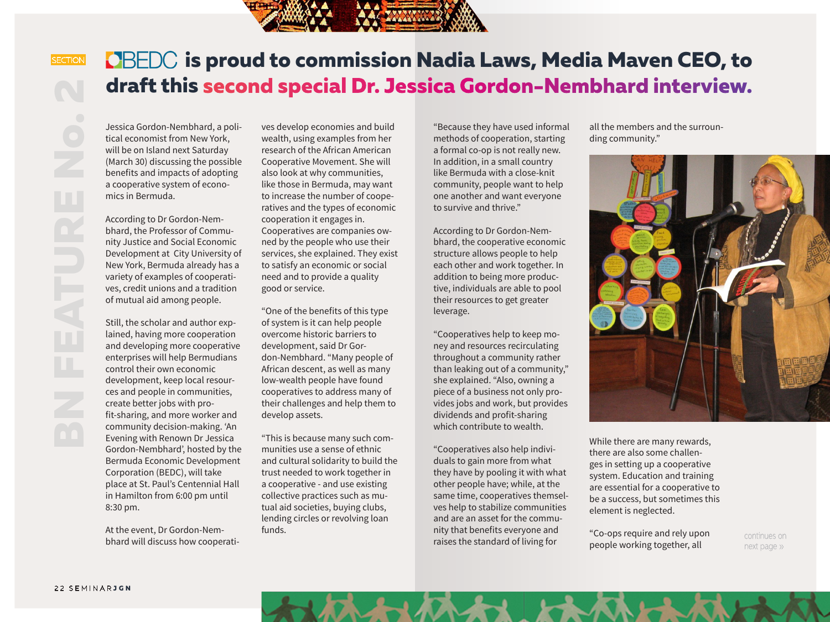

## **is proud to commission Nadia Laws, Media Maven CEO, to draft this second special Dr. Jessica Gordon-Nembhard interview.**

Jessica Gordon-Nembhard, a political economist from New York, will be on Island next Saturday (March 30) discussing the possible benefits and impacts of adopting a cooperative system of economics in Bermuda.

According to Dr Gordon-Nembhard, the Professor of Community Justice and Social Economic Development at City University of New York, Bermuda already has a variety of examples of cooperatives, credit unions and a tradition of mutual aid among people.

Still, the scholar and author explained, having more cooperation and developing more cooperative enterprises will help Bermudians control their own economic development, keep local resources and people in communities, create better jobs with profit-sharing, and more worker and community decision-making. 'An Evening with Renown Dr Jessica Gordon-Nembhard', hosted by the Bermuda Economic Development Corporation (BEDC), will take place at St. Paul's Centennial Hall in Hamilton from 6:00 pm until 8:30 pm.

At the event, Dr Gordon-Nembhard will discuss how cooperatives develop economies and build wealth, using examples from her research of the African American Cooperative Movement. She will also look at why communities, like those in Bermuda, may want to increase the number of cooperatives and the types of economic cooperation it engages in. Cooperatives are companies owned by the people who use their services, she explained. They exist to satisfy an economic or social need and to provide a quality good or service.

"One of the benefits of this type of system is it can help people overcome historic barriers to development, said Dr Gordon-Nembhard. "Many people of African descent, as well as many low-wealth people have found cooperatives to address many of their challenges and help them to develop assets.

"This is because many such communities use a sense of ethnic and cultural solidarity to build the trust needed to work together in a cooperative - and use existing collective practices such as mutual aid societies, buying clubs, lending circles or revolving loan funds.

"Because they have used informal methods of cooperation, starting a formal co-op is not really new. In addition, in a small country like Bermuda with a close-knit community, people want to help one another and want everyone to survive and thrive."

According to Dr Gordon-Nembhard, the cooperative economic structure allows people to help each other and work together. In addition to being more productive, individuals are able to pool their resources to get greater leverage.

"Cooperatives help to keep money and resources recirculating throughout a community rather than leaking out of a community," she explained. "Also, owning a piece of a business not only provides jobs and work, but provides dividends and profit-sharing which contribute to wealth.

"Cooperatives also help individuals to gain more from what they have by pooling it with what other people have; while, at the same time, cooperatives themselves help to stabilize communities and are an asset for the community that benefits everyone and raises the standard of living for

all the members and the surrounding community."



While there are many rewards, there are also some challenges in setting up a cooperative system. Education and training are essential for a cooperative to be a success, but sometimes this element is neglected.

"Co-ops require and rely upon people working together, all

continues on next page »